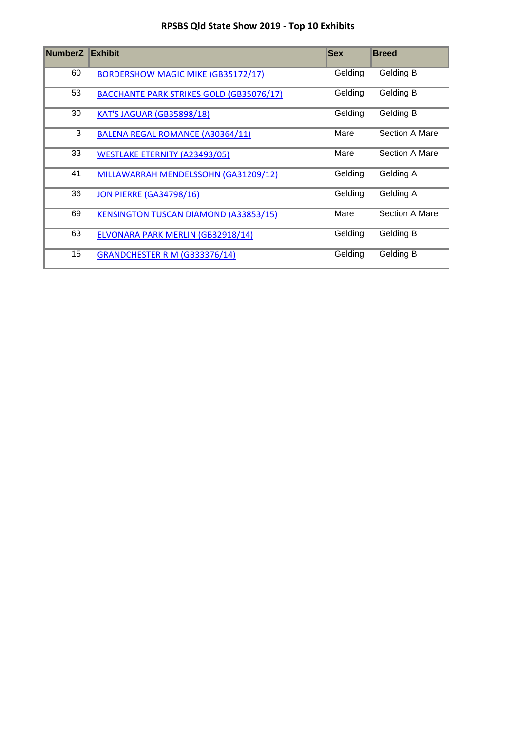## **RPSBS Qld State Show 2019 - Top 10 Exhibits**

| <b>NumberZ</b> | <b>Exhibit</b>                                  | <b>Sex</b> | <b>Breed</b>     |
|----------------|-------------------------------------------------|------------|------------------|
| 60             | <b>BORDERSHOW MAGIC MIKE (GB35172/17)</b>       | Gelding    | Gelding B        |
| 53             | <b>BACCHANTE PARK STRIKES GOLD (GB35076/17)</b> | Gelding    | Gelding B        |
| 30             | <b>KAT'S JAGUAR (GB35898/18)</b>                | Gelding    | Gelding B        |
| 3              | BALENA REGAL ROMANCE (A30364/11)                | Mare       | Section A Mare   |
| 33             | <b>WESTLAKE ETERNITY (A23493/05)</b>            | Mare       | Section A Mare   |
| 41             | MILLAWARRAH MENDELSSOHN (GA31209/12)            | Gelding    | Gelding A        |
| 36             | <b>JON PIERRE (GA34798/16)</b>                  | Gelding    | Gelding A        |
| 69             | <b>KENSINGTON TUSCAN DIAMOND (A33853/15)</b>    | Mare       | Section A Mare   |
| 63             | ELVONARA PARK MERLIN (GB32918/14)               | Gelding    | <b>Gelding B</b> |
| 15             | GRANDCHESTER R M (GB33376/14)                   | Gelding    | Gelding B        |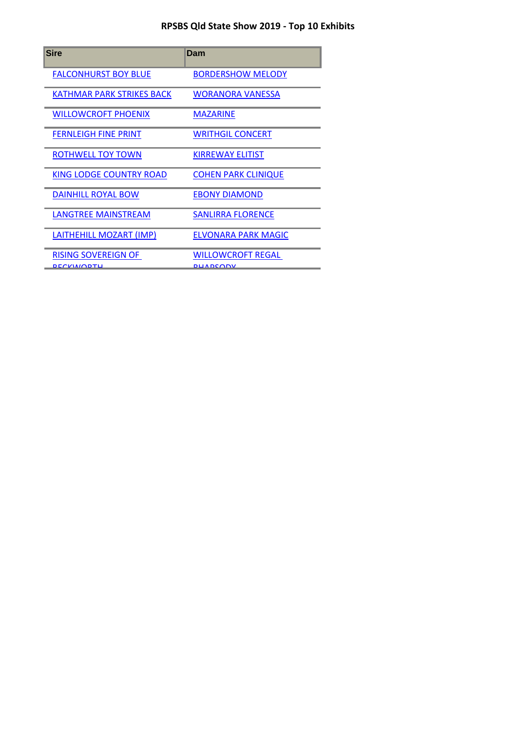## **RPSBS Qld State Show 2019 - Top 10 Exhibits**

| <b>Sire</b>                                     | Dam                                         |
|-------------------------------------------------|---------------------------------------------|
| <b>FALCONHURST BOY BLUE</b>                     | <b>BORDERSHOW MELODY</b>                    |
| <b>KATHMAR PARK STRIKES BACK</b>                | <b>WORANORA VANESSA</b>                     |
| <b>WILLOWCROFT PHOENIX</b>                      | <b>MAZARINE</b>                             |
| <b>FERNLEIGH FINE PRINT</b>                     | <b>WRITHGIL CONCERT</b>                     |
| <b>ROTHWELL TOY TOWN</b>                        | <b>KIRREWAY ELITIST</b>                     |
| <b>KING LODGE COUNTRY ROAD</b>                  | <b>COHEN PARK CLINIQUE</b>                  |
| DAINHILL ROYAL BOW                              | <b>EBONY DIAMOND</b>                        |
| <b>LANGTREE MAINSTREAM</b>                      | <b>SANLIRRA FLORENCE</b>                    |
| LAITHEHILL MOZART (IMP)                         | <b>ELVONARA PARK MAGIC</b>                  |
| <b>RISING SOVEREIGN OF</b><br><b>DECKWODTLI</b> | <b>WILLOWCROFT REGAL</b><br><b>DUADCODV</b> |